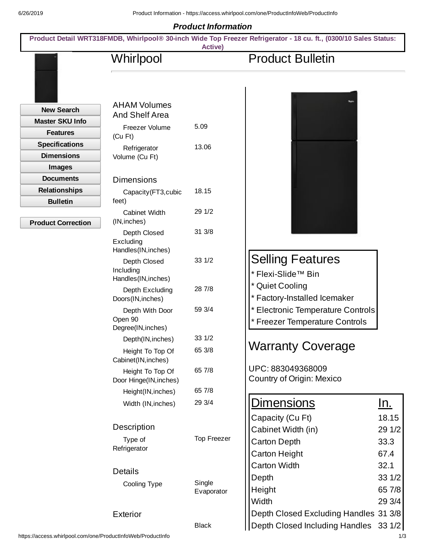## *Product Information*

| Whirlpool                                      | <b>Active</b>      | <b>Product Bulletin</b>               |            |
|------------------------------------------------|--------------------|---------------------------------------|------------|
|                                                |                    |                                       |            |
| <b>AHAM Volumes</b><br><b>New Search</b>       |                    |                                       |            |
| And Shelf Area<br><b>Master SKU Info</b>       |                    |                                       |            |
| Freezer Volume<br><b>Features</b><br>$(Cu$ Ft) | 5.09               |                                       |            |
| <b>Specifications</b><br>Refrigerator          | 13.06              |                                       |            |
| <b>Dimensions</b><br>Volume (Cu Ft)            |                    |                                       |            |
| <b>Images</b>                                  |                    |                                       |            |
| <b>Documents</b><br><b>Dimensions</b>          |                    |                                       |            |
| <b>Relationships</b><br>Capacity (FT3, cubic   | 18.15              |                                       |            |
| <b>Bulletin</b><br>feet)                       |                    |                                       |            |
| Cabinet Width                                  | 29 1/2             |                                       |            |
| (IN, inches)<br><b>Product Correction</b>      |                    |                                       |            |
| Depth Closed<br>Excluding                      | 31 3/8             |                                       |            |
| Handles(IN, inches)                            |                    |                                       |            |
| Depth Closed                                   | 33 1/2             | <b>Selling Features</b>               |            |
| Including                                      |                    | * Flexi-Slide™ Bin                    |            |
| Handles(IN, inches)                            | 28 7/8             | <b>Quiet Cooling</b>                  |            |
| Depth Excluding<br>Doors(IN, inches)           |                    | * Factory-Installed Icemaker          |            |
| Depth With Door                                | 59 3/4             | * Electronic Temperature Controls     |            |
| Open 90                                        |                    | * Freezer Temperature Controls        |            |
| Degree(IN, inches)                             |                    |                                       |            |
| Depth(IN, inches)                              | 33 1/2             | <b>Warranty Coverage</b>              |            |
| Height To Top Of                               | 65 3/8             |                                       |            |
| Cabinet(IN, inches)<br>Height To Top Of        | 65 7/8             | UPC: 883049368009                     |            |
| Door Hinge(IN, inches)                         |                    | Country of Origin: Mexico             |            |
| Height(IN, inches)                             | 65 7/8             |                                       |            |
| Width (IN, inches)                             | 29 3/4             | <b>Dimensions</b>                     | <u>ln.</u> |
|                                                |                    | Capacity (Cu Ft)                      | 18.15      |
| Description                                    |                    | Cabinet Width (in)                    | 29 1/2     |
| Type of                                        | <b>Top Freezer</b> | <b>Carton Depth</b>                   | 33.3       |
| Refrigerator                                   |                    | Carton Height                         | 67.4       |
|                                                |                    | <b>Carton Width</b>                   | 32.1       |
| <b>Details</b>                                 |                    |                                       |            |
| Cooling Type                                   | Single             | Depth                                 | 33 1/2     |
|                                                | Evaporator         | Height                                | 65 7/8     |
|                                                |                    | Width                                 | 29 3/4     |
| <b>Exterior</b>                                |                    | Depth Closed Excluding Handles 31 3/8 |            |
|                                                | <b>Black</b>       | Depth Closed Including Handles 33 1/2 |            |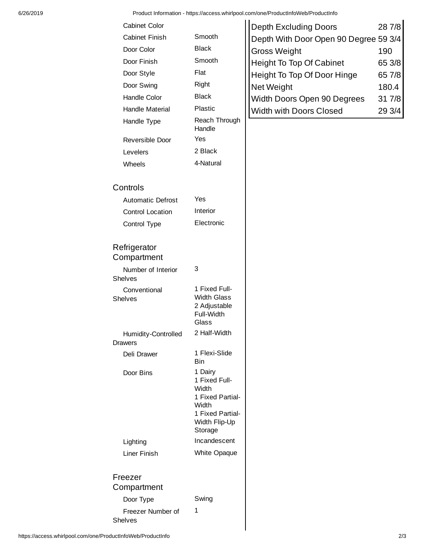|                                       |                                                                                                                | r Todact Information - https://access.wimipoor.com/one/r Todactinioweb/r Todactinio |        |
|---------------------------------------|----------------------------------------------------------------------------------------------------------------|-------------------------------------------------------------------------------------|--------|
| Cabinet Color                         |                                                                                                                | <b>Depth Excluding Doors</b>                                                        | 28 7/8 |
| <b>Cabinet Finish</b>                 | Smooth                                                                                                         | Depth With Door Open 90 Degree 59 3/4                                               |        |
| Door Color                            | <b>Black</b>                                                                                                   | <b>Gross Weight</b>                                                                 | 190    |
| Door Finish                           | Smooth                                                                                                         | Height To Top Of Cabinet                                                            | 65 3/8 |
| Door Style                            | Flat                                                                                                           | Height To Top Of Door Hinge                                                         | 65 7/8 |
| Door Swing                            | Right                                                                                                          | Net Weight                                                                          | 180.4  |
| Handle Color                          | <b>Black</b>                                                                                                   | Width Doors Open 90 Degrees                                                         | 31 7/8 |
| Handle Material                       | Plastic                                                                                                        | Width with Doors Closed                                                             | 29 3/4 |
| Handle Type                           | Reach Through<br>Handle                                                                                        |                                                                                     |        |
| Reversible Door                       | Yes                                                                                                            |                                                                                     |        |
| Levelers                              | 2 Black                                                                                                        |                                                                                     |        |
| Wheels                                | 4-Natural                                                                                                      |                                                                                     |        |
| Controls                              |                                                                                                                |                                                                                     |        |
| <b>Automatic Defrost</b>              | Yes                                                                                                            |                                                                                     |        |
| <b>Control Location</b>               | Interior                                                                                                       |                                                                                     |        |
| Control Type                          | Electronic                                                                                                     |                                                                                     |        |
| Refrigerator<br>Compartment           |                                                                                                                |                                                                                     |        |
| Number of Interior<br><b>Shelves</b>  | 3                                                                                                              |                                                                                     |        |
| Conventional<br>Shelves               | 1 Fixed Full-<br><b>Width Glass</b><br>2 Adjustable<br>Full-Width<br>Glass                                     |                                                                                     |        |
| Humidity-Controlled<br><b>Drawers</b> | 2 Half-Width                                                                                                   |                                                                                     |        |
| Deli Drawer                           | 1 Flexi-Slide<br><b>Bin</b>                                                                                    |                                                                                     |        |
| Door Bins                             | 1 Dairy<br>1 Fixed Full-<br>Width<br>1 Fixed Partial-<br>Width<br>1 Fixed Partial-<br>Width Flip-Up<br>Storage |                                                                                     |        |
| Lighting                              | Incandescent                                                                                                   |                                                                                     |        |
| Liner Finish                          | White Opaque                                                                                                   |                                                                                     |        |
| Freezer                               |                                                                                                                |                                                                                     |        |
| Compartment                           |                                                                                                                |                                                                                     |        |
| Door Type                             | Swing                                                                                                          |                                                                                     |        |
| Freezer Number of                     | 1                                                                                                              |                                                                                     |        |

https://access.whirlpool.com/one/ProductInfoWeb/ProductInfo 2/3

Shelves